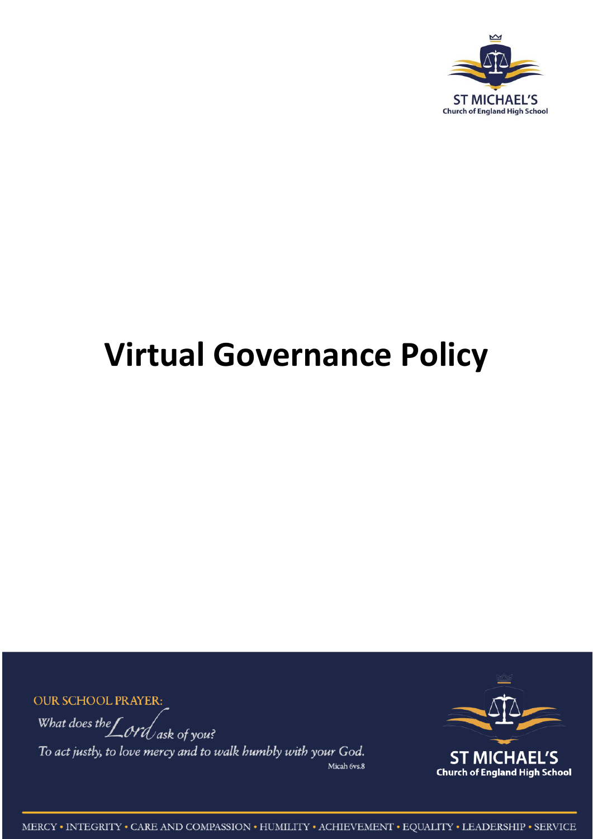

# **Virtual Governance Policy**

**OUR SCHOOL PRAYER:** 

What does the  $\int$  ord ask of you?

To act justly, to love mercy and to walk humbly with your God. Micah 6vs.8

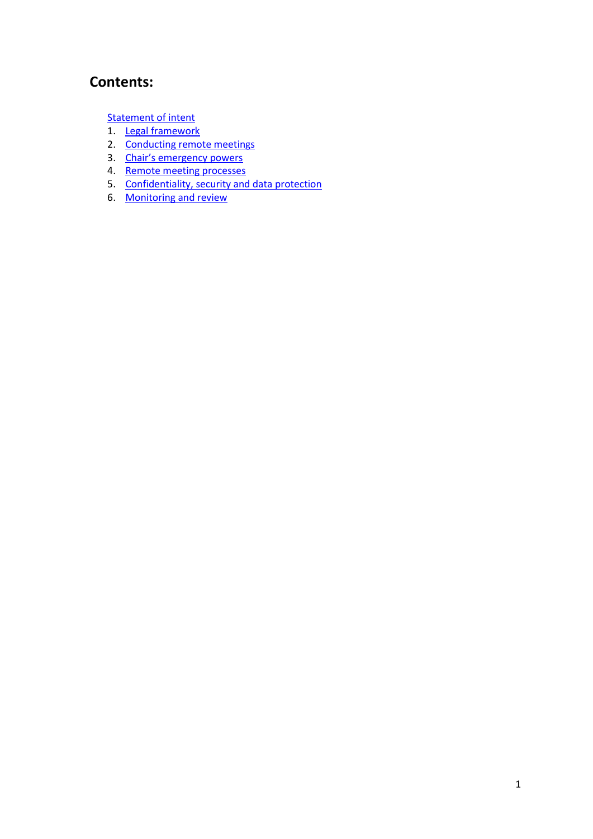## **Contents:**

**[Statement of intent](#page-2-0)** 

- 1. [Legal framework](#page-3-0)
- 2. [Conducting remote meetings](#page-3-1)
- 3. [Chair's emergency powers](#page-4-0)
- 4. [Remote meeting processes](#page-4-1)
- 5. [Confidentiality, security and data protection](#page-5-0)
- 6. [Monitoring and review](#page-6-0)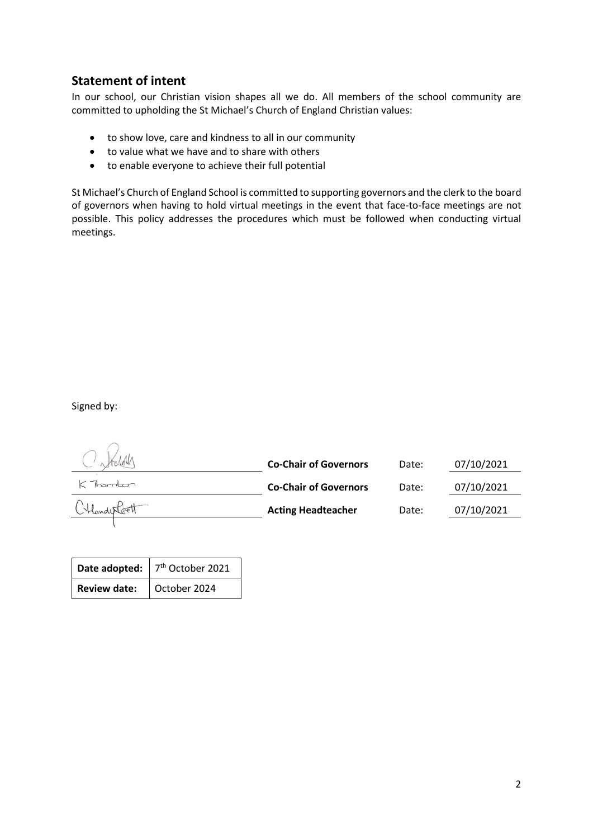## <span id="page-2-0"></span>**Statement of intent**

In our school, our Christian vision shapes all we do. All members of the school community are committed to upholding the St Michael's Church of England Christian values:

- to show love, care and kindness to all in our community
- to value what we have and to share with others
- to enable everyone to achieve their full potential

St Michael's Church of England School is committed to supporting governors and the clerk to the board of governors when having to hold virtual meetings in the event that face-to-face meetings are not possible. This policy addresses the procedures which must be followed when conducting virtual meetings.

Signed by:

**Co-Chair of Governors** Date: 07/10/2021  $K$  Thernbor **Co-Chair of Governors** Date: 07/10/2021 Handerfrett Acting Headteacher Date: 07/10/2021

|                     | Date adopted: $7th$ October 2021 |
|---------------------|----------------------------------|
| <b>Review date:</b> | October 2024                     |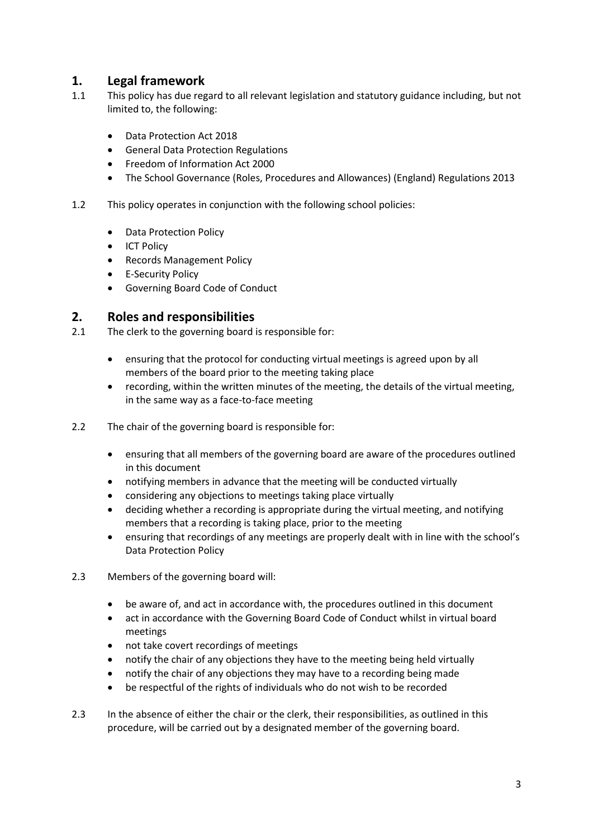## <span id="page-3-0"></span>**1. Legal framework**

- 1.1 This policy has due regard to all relevant legislation and statutory guidance including, but not limited to, the following:
	- Data Protection Act 2018
	- General Data Protection Regulations
	- Freedom of Information Act 2000
	- The School Governance (Roles, Procedures and Allowances) (England) Regulations 2013
- 1.2 This policy operates in conjunction with the following school policies:
	- Data Protection Policy
	- ICT Policy
	- Records Management Policy
	- E-Security Policy
	- Governing Board Code of Conduct

## <span id="page-3-1"></span>**2. Roles and responsibilities**

- 2.1 The clerk to the governing board is responsible for:
	- ensuring that the protocol for conducting virtual meetings is agreed upon by all members of the board prior to the meeting taking place
	- recording, within the written minutes of the meeting, the details of the virtual meeting, in the same way as a face-to-face meeting
- 2.2 The chair of the governing board is responsible for:
	- ensuring that all members of the governing board are aware of the procedures outlined in this document
	- notifying members in advance that the meeting will be conducted virtually
	- considering any objections to meetings taking place virtually
	- deciding whether a recording is appropriate during the virtual meeting, and notifying members that a recording is taking place, prior to the meeting
	- ensuring that recordings of any meetings are properly dealt with in line with the school's Data Protection Policy
- 2.3 Members of the governing board will:
	- be aware of, and act in accordance with, the procedures outlined in this document
	- act in accordance with the Governing Board Code of Conduct whilst in virtual board meetings
	- not take covert recordings of meetings
	- notify the chair of any objections they have to the meeting being held virtually
	- notify the chair of any objections they may have to a recording being made
	- be respectful of the rights of individuals who do not wish to be recorded
- 2.3 In the absence of either the chair or the clerk, their responsibilities, as outlined in this procedure, will be carried out by a designated member of the governing board.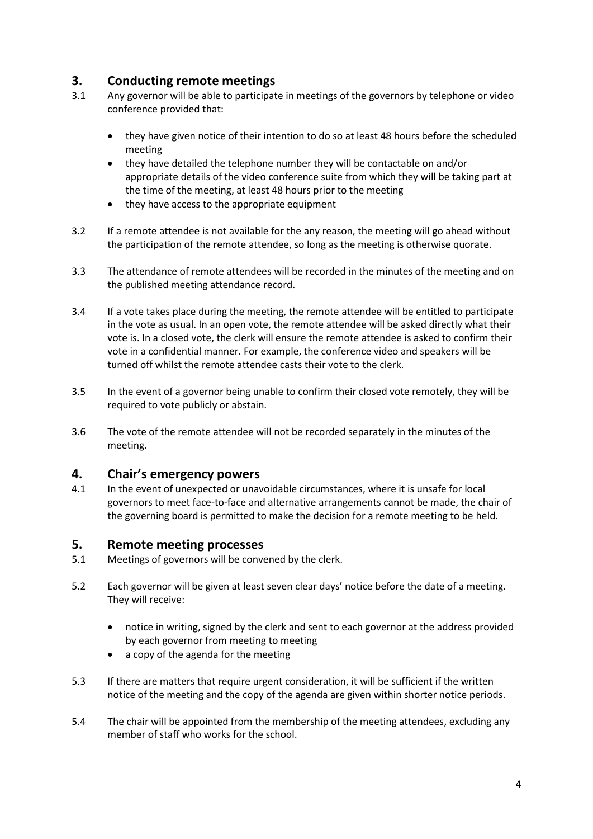## **3. Conducting remote meetings**

- 3.1 Any governor will be able to participate in meetings of the governors by telephone or video conference provided that:
	- they have given notice of their intention to do so at least 48 hours before the scheduled meeting
	- they have detailed the telephone number they will be contactable on and/or appropriate details of the video conference suite from which they will be taking part at the time of the meeting, at least 48 hours prior to the meeting
	- they have access to the appropriate equipment
- 3.2 If a remote attendee is not available for the any reason, the meeting will go ahead without the participation of the remote attendee, so long as the meeting is otherwise quorate.
- 3.3 The attendance of remote attendees will be recorded in the minutes of the meeting and on the published meeting attendance record.
- 3.4 If a vote takes place during the meeting, the remote attendee will be entitled to participate in the vote as usual. In an open vote, the remote attendee will be asked directly what their vote is. In a closed vote, the clerk will ensure the remote attendee is asked to confirm their vote in a confidential manner. For example, the conference video and speakers will be turned off whilst the remote attendee casts their vote to the clerk.
- 3.5 In the event of a governor being unable to confirm their closed vote remotely, they will be required to vote publicly or abstain.
- 3.6 The vote of the remote attendee will not be recorded separately in the minutes of the meeting.

#### <span id="page-4-0"></span>**4. Chair's emergency powers**

4.1 In the event of unexpected or unavoidable circumstances, where it is unsafe for local governors to meet face-to-face and alternative arrangements cannot be made, the chair of the governing board is permitted to make the decision for a remote meeting to be held.

#### <span id="page-4-1"></span>**5. Remote meeting processes**

- 5.1 Meetings of governors will be convened by the clerk.
- 5.2 Each governor will be given at least seven clear days' notice before the date of a meeting. They will receive:
	- notice in writing, signed by the clerk and sent to each governor at the address provided by each governor from meeting to meeting
	- a copy of the agenda for the meeting
- 5.3 If there are matters that require urgent consideration, it will be sufficient if the written notice of the meeting and the copy of the agenda are given within shorter notice periods.
- 5.4 The chair will be appointed from the membership of the meeting attendees, excluding any member of staff who works for the school.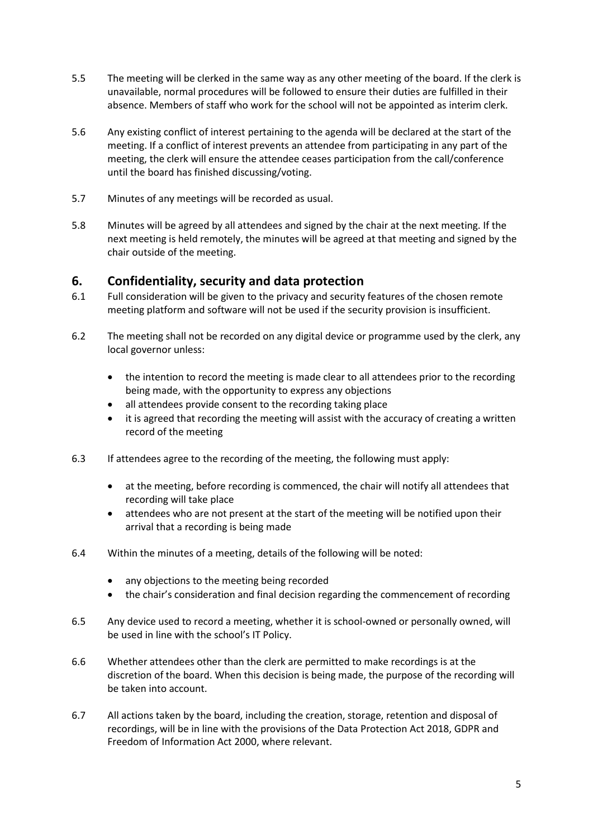- 5.5 The meeting will be clerked in the same way as any other meeting of the board. If the clerk is unavailable, normal procedures will be followed to ensure their duties are fulfilled in their absence. Members of staff who work for the school will not be appointed as interim clerk.
- 5.6 Any existing conflict of interest pertaining to the agenda will be declared at the start of the meeting. If a conflict of interest prevents an attendee from participating in any part of the meeting, the clerk will ensure the attendee ceases participation from the call/conference until the board has finished discussing/voting.
- 5.7 Minutes of any meetings will be recorded as usual.
- 5.8 Minutes will be agreed by all attendees and signed by the chair at the next meeting. If the next meeting is held remotely, the minutes will be agreed at that meeting and signed by the chair outside of the meeting.

## <span id="page-5-0"></span>**6. Confidentiality, security and data protection**

- 6.1 Full consideration will be given to the privacy and security features of the chosen remote meeting platform and software will not be used if the security provision is insufficient.
- 6.2 The meeting shall not be recorded on any digital device or programme used by the clerk, any local governor unless:
	- the intention to record the meeting is made clear to all attendees prior to the recording being made, with the opportunity to express any objections
	- all attendees provide consent to the recording taking place
	- it is agreed that recording the meeting will assist with the accuracy of creating a written record of the meeting
- 6.3 If attendees agree to the recording of the meeting, the following must apply:
	- at the meeting, before recording is commenced, the chair will notify all attendees that recording will take place
	- attendees who are not present at the start of the meeting will be notified upon their arrival that a recording is being made
- 6.4 Within the minutes of a meeting, details of the following will be noted:
	- any objections to the meeting being recorded
	- the chair's consideration and final decision regarding the commencement of recording
- 6.5 Any device used to record a meeting, whether it is school-owned or personally owned, will be used in line with the school's IT Policy.
- 6.6 Whether attendees other than the clerk are permitted to make recordings is at the discretion of the board. When this decision is being made, the purpose of the recording will be taken into account.
- 6.7 All actions taken by the board, including the creation, storage, retention and disposal of recordings, will be in line with the provisions of the Data Protection Act 2018, GDPR and Freedom of Information Act 2000, where relevant.